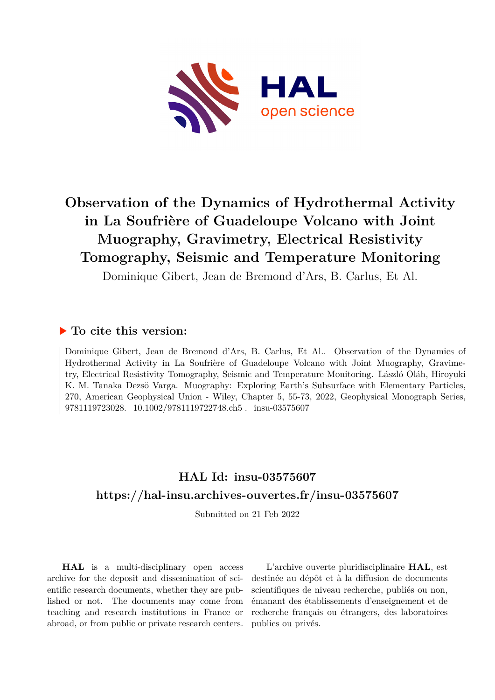

# **Observation of the Dynamics of Hydrothermal Activity in La Soufrière of Guadeloupe Volcano with Joint Muography, Gravimetry, Electrical Resistivity Tomography, Seismic and Temperature Monitoring**

Dominique Gibert, Jean de Bremond d'Ars, B. Carlus, Et Al.

#### **To cite this version:**

Dominique Gibert, Jean de Bremond d'Ars, B. Carlus, Et Al.. Observation of the Dynamics of Hydrothermal Activity in La Soufrière of Guadeloupe Volcano with Joint Muography, Gravimetry, Electrical Resistivity Tomography, Seismic and Temperature Monitoring. László Oláh, Hiroyuki K. M. Tanaka Dezsö Varga. Muography: Exploring Earth's Subsurface with Elementary Particles, 270, American Geophysical Union - Wiley, Chapter 5, 55-73, 2022, Geophysical Monograph Series, 9781119723028. 10.1002/9781119722748.ch5. insu-03575607

### **HAL Id: insu-03575607 <https://hal-insu.archives-ouvertes.fr/insu-03575607>**

Submitted on 21 Feb 2022

**HAL** is a multi-disciplinary open access archive for the deposit and dissemination of scientific research documents, whether they are published or not. The documents may come from teaching and research institutions in France or abroad, or from public or private research centers.

L'archive ouverte pluridisciplinaire **HAL**, est destinée au dépôt et à la diffusion de documents scientifiques de niveau recherche, publiés ou non, émanant des établissements d'enseignement et de recherche français ou étrangers, des laboratoires publics ou privés.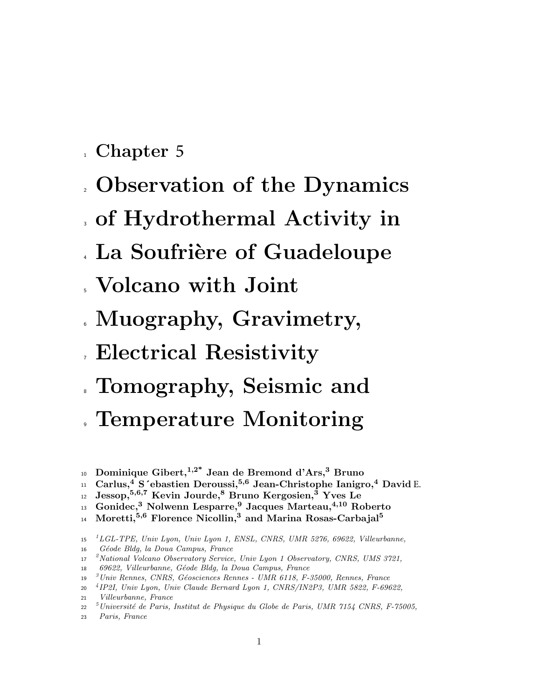- 1 Chapter 5
- <sup>2</sup> Observation of the Dynamics
- <sup>3</sup> of Hydrothermal Activity in
- . La Soufrière of Guadeloupe
- <sup>5</sup> Volcano with Joint
- <sup>6</sup> Muography, Gravimetry,
- <sup>7</sup> Electrical Resistivity
- <sup>8</sup> Tomography, Seismic and
- . Temperature Monitoring
- 10 Dominique Gibert, <sup>1,2\*</sup> Jean de Bremond d'Ars,<sup>3</sup> Bruno
- $_{11}$  Carlus,<sup>4</sup> S´ebastien Deroussi,<sup>5,6</sup> Jean-Christophe Ianigro,<sup>4</sup> David E.
- $_{^{12}}\;$  Jessop, $^{5,6,7}$  Kevin Jourde, $^8$  Bruno Kergosien, $^{\tilde{3}}$  Yves Le
- 13 Gonidec,<sup>3</sup> Nolwenn Lesparre,<sup>9</sup> Jacques Marteau,<sup>4,10</sup> Roberto
- Moretti,<sup>5,6</sup> Florence Nicollin,<sup>3</sup> and Marina Rosas-Carbajal<sup>5</sup>  $14$
- 1 <sup>15</sup> LGL-TPE, Univ Lyon, Univ Lyon 1, ENSL, CNRS, UMR 5276, 69622, Villeurbanne,
- <sup>16</sup> G´eode Bldg, la Doua Campus, France
- <sup>2</sup>National Volcano Observatory Service, Univ Lyon 1 Observatory, CNRS, UMS 3721,
- 18 69622, Villeurbanne, Géode Bldg, la Doua Campus, France
- <sup>3</sup> Univ Rennes, CNRS, Géosciences Rennes UMR 6118, F-35000, Rennes, France
- 4 <sup>20</sup> IP2I, Univ Lyon, Univ Claude Bernard Lyon 1, CNRS/IN2P3, UMR 5822, F-69622, <sup>21</sup> Villeurbanne, France
- <sup>5</sup> Université de Paris, Institut de Physique du Globe de Paris, UMR 7154 CNRS, F-75005,

<sup>23</sup> Paris, France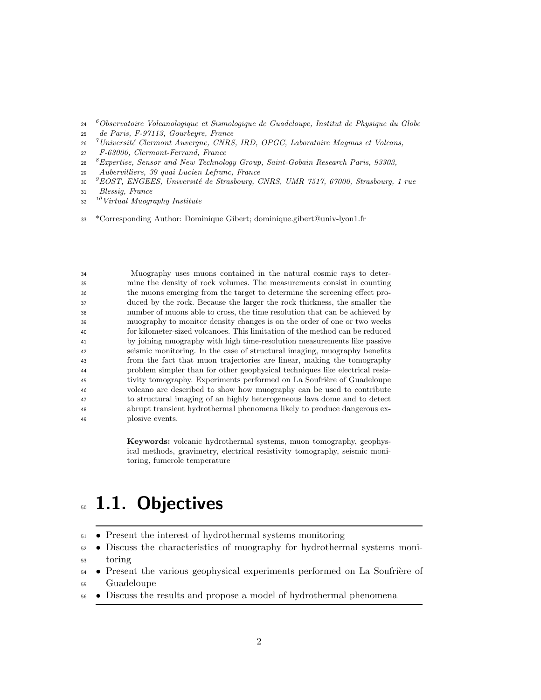- <sup>6</sup>Observatoire Volcanologique et Sismologique de Guadeloupe, Institut de Physique du Globe
- de Paris, F-97113, Gourbeyre, France
- <sup>7</sup> Université Clermont Auvergne, CNRS, IRD, OPGC, Laboratoire Magmas et Volcans,
- F-63000, Clermont-Ferrand, France
- <sup>8</sup> Expertise, Sensor and New Technology Group, Saint-Gobain Research Paris, 93303,
- Aubervilliers, 39 quai Lucien Lefranc, France
- <sup>9</sup>EOST, ENGEES, Université de Strasbourg, CNRS, UMR 7517, 67000, Strasbourg, 1 rue
- Blessig, France
- Virtual Muography Institute
- \*Corresponding Author: Dominique Gibert; dominique.gibert@univ-lyon1.fr

 Muography uses muons contained in the natural cosmic rays to deter- mine the density of rock volumes. The measurements consist in counting the muons emerging from the target to determine the screening effect pro- duced by the rock. Because the larger the rock thickness, the smaller the number of muons able to cross, the time resolution that can be achieved by muography to monitor density changes is on the order of one or two weeks for kilometer-sized volcanoes. This limitation of the method can be reduced by joining muography with high time-resolution measurements like passive seismic monitoring. In the case of structural imaging, muography benefits from the fact that muon trajectories are linear, making the tomography problem simpler than for other geophysical techniques like electrical resis-45 tivity tomography. Experiments performed on La Soufrière of Guadeloupe volcano are described to show how muography can be used to contribute to structural imaging of an highly heterogeneous lava dome and to detect abrupt transient hydrothermal phenomena likely to produce dangerous ex-plosive events.

> Keywords: volcanic hydrothermal systems, muon tomography, geophysical methods, gravimetry, electrical resistivity tomography, seismic monitoring, fumerole temperature

# **50 1.1. Objectives**

- Present the interest of hydrothermal systems monitoring
- Discuss the characteristics of muography for hydrothermal systems moni-toring
- $_{54}$  Present the various geophysical experiments performed on La Soufrière of Guadeloupe
- Discuss the results and propose a model of hydrothermal phenomena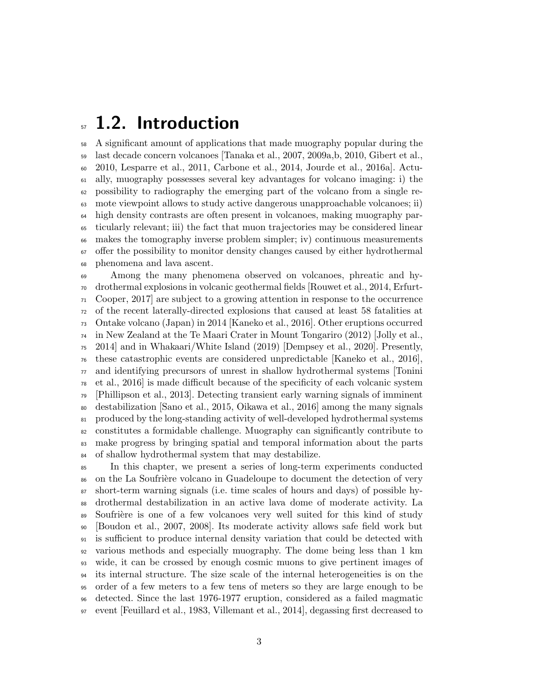## $_5$  1.2. Introduction

 A significant amount of applications that made muography popular during the last decade concern volcanoes [Tanaka et al., 2007, 2009a,b, 2010, Gibert et al., 2010, Lesparre et al., 2011, Carbone et al., 2014, Jourde et al., 2016a]. Actu- ally, muography possesses several key advantages for volcano imaging: i) the possibility to radiography the emerging part of the volcano from a single re- mote viewpoint allows to study active dangerous unapproachable volcanoes; ii) high density contrasts are often present in volcanoes, making muography par- ticularly relevant; iii) the fact that muon trajectories may be considered linear makes the tomography inverse problem simpler; iv) continuous measurements offer the possibility to monitor density changes caused by either hydrothermal phenomena and lava ascent.

 Among the many phenomena observed on volcanoes, phreatic and hy- drothermal explosions in volcanic geothermal fields [Rouwet et al., 2014, Erfurt- Cooper, 2017] are subject to a growing attention in response to the occurrence of the recent laterally-directed explosions that caused at least 58 fatalities at Ontake volcano (Japan) in 2014 [Kaneko et al., 2016]. Other eruptions occurred in New Zealand at the Te Maari Crater in Mount Tongariro (2012) [Jolly et al., 2014] and in Whakaari/White Island (2019) [Dempsey et al., 2020]. Presently, these catastrophic events are considered unpredictable [Kaneko et al., 2016], and identifying precursors of unrest in shallow hydrothermal systems [Tonini et al., 2016] is made difficult because of the specificity of each volcanic system [Phillipson et al., 2013]. Detecting transient early warning signals of imminent destabilization [Sano et al., 2015, Oikawa et al., 2016] among the many signals produced by the long-standing activity of well-developed hydrothermal systems constitutes a formidable challenge. Muography can significantly contribute to make progress by bringing spatial and temporal information about the parts of shallow hydrothermal system that may destabilize.

 In this chapter, we present a series of long-term experiments conducted <sup>86</sup> on the La Soufrière volcano in Guadeloupe to document the detection of very short-term warning signals (i.e. time scales of hours and days) of possible hy- drothermal destabilization in an active lava dome of moderate activity. La 89 Soufrière is one of a few volcanoes very well suited for this kind of study [Boudon et al., 2007, 2008]. Its moderate activity allows safe field work but is sufficient to produce internal density variation that could be detected with various methods and especially muography. The dome being less than 1 km wide, it can be crossed by enough cosmic muons to give pertinent images of its internal structure. The size scale of the internal heterogeneities is on the order of a few meters to a few tens of meters so they are large enough to be detected. Since the last 1976-1977 eruption, considered as a failed magmatic event [Feuillard et al., 1983, Villemant et al., 2014], degassing first decreased to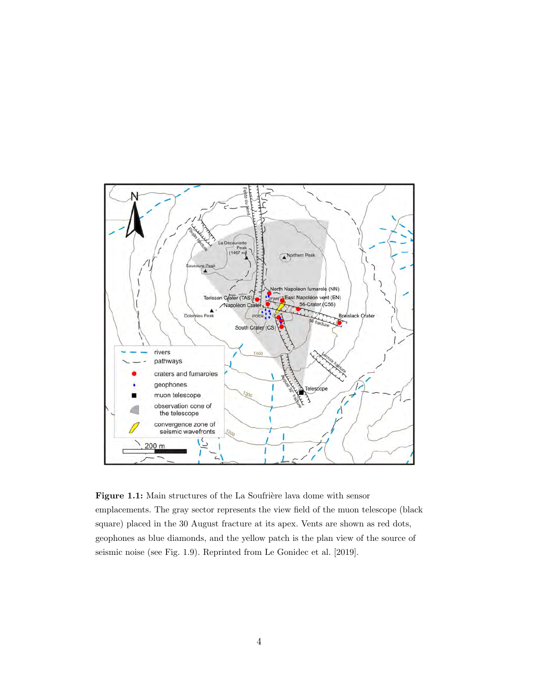

Figure 1.1: Main structures of the La Soufrière lava dome with sensor emplacements. The gray sector represents the view field of the muon telescope (black square) placed in the 30 August fracture at its apex. Vents are shown as red dots, geophones as blue diamonds, and the yellow patch is the plan view of the source of seismic noise (see Fig. 1.9). Reprinted from Le Gonidec et al. [2019].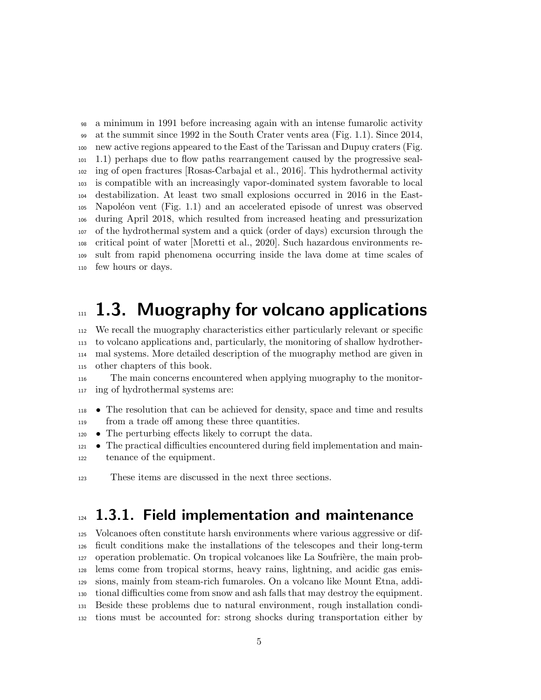a minimum in 1991 before increasing again with an intense fumarolic activity at the summit since 1992 in the South Crater vents area (Fig. 1.1). Since 2014, new active regions appeared to the East of the Tarissan and Dupuy craters (Fig. 1.1) perhaps due to flow paths rearrangement caused by the progressive seal- ing of open fractures [Rosas-Carbajal et al., 2016]. This hydrothermal activity is compatible with an increasingly vapor-dominated system favorable to local destabilization. At least two small explosions occurred in 2016 in the East- Napoléon vent (Fig. 1.1) and an accelerated episode of unrest was observed during April 2018, which resulted from increased heating and pressurization of the hydrothermal system and a quick (order of days) excursion through the critical point of water [Moretti et al., 2020]. Such hazardous environments re- sult from rapid phenomena occurring inside the lava dome at time scales of few hours or days.

## $n<sub>m</sub>$  1.3. Muography for volcano applications

 We recall the muography characteristics either particularly relevant or specific to volcano applications and, particularly, the monitoring of shallow hydrother- mal systems. More detailed description of the muography method are given in other chapters of this book.

- The main concerns encountered when applying muography to the monitor-ing of hydrothermal systems are:
- The resolution that can be achieved for density, space and time and results from a trade off among these three quantities.
- The perturbing effects likely to corrupt the data.
- The practical difficulties encountered during field implementation and main-tenance of the equipment.
- These items are discussed in the next three sections.

# 124 1.3.1. Field implementation and maintenance

 Volcanoes often constitute harsh environments where various aggressive or dif- ficult conditions make the installations of the telescopes and their long-term operation problematic. On tropical volcanoes like La Soufrière, the main prob- lems come from tropical storms, heavy rains, lightning, and acidic gas emis- sions, mainly from steam-rich fumaroles. On a volcano like Mount Etna, addi- tional difficulties come from snow and ash falls that may destroy the equipment. Beside these problems due to natural environment, rough installation condi-tions must be accounted for: strong shocks during transportation either by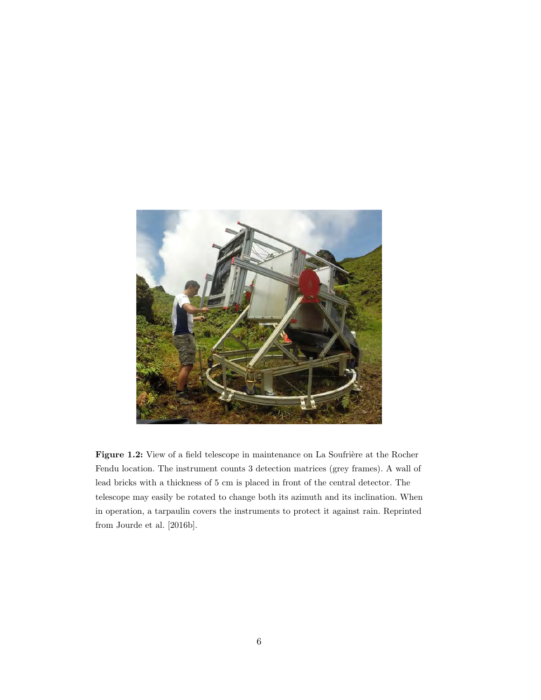

Figure 1.2: View of a field telescope in maintenance on La Soufrière at the Rocher Fendu location. The instrument counts 3 detection matrices (grey frames). A wall of lead bricks with a thickness of 5 cm is placed in front of the central detector. The telescope may easily be rotated to change both its azimuth and its inclination. When in operation, a tarpaulin covers the instruments to protect it against rain. Reprinted from Jourde et al. [2016b].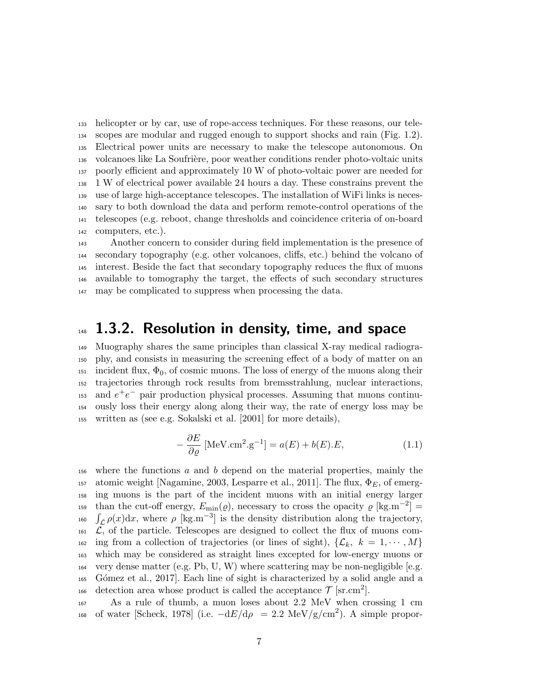helicopter or by car, use of rope-access techniques. For these reasons, our tele- scopes are modular and rugged enough to support shocks and rain (Fig. 1.2). Electrical power units are necessary to make the telescope autonomous. On volcanoes like La Soufri`ere, poor weather conditions render photo-voltaic units poorly efficient and approximately 10 W of photo-voltaic power are needed for 1 W of electrical power available 24 hours a day. These constrains prevent the use of large high-acceptance telescopes. The installation of WiFi links is neces- sary to both download the data and perform remote-control operations of the telescopes (e.g. reboot, change thresholds and coincidence criteria of on-board computers, etc.).

 Another concern to consider during field implementation is the presence of secondary topography (e.g. other volcanoes, cliffs, etc.) behind the volcano of interest. Beside the fact that secondary topography reduces the flux of muons available to tomography the target, the effects of such secondary structures may be complicated to suppress when processing the data.

#### $1.3.2.$  Resolution in density, time, and space

 Muography shares the same principles than classical X-ray medical radiogra- phy, and consists in measuring the screening effect of a body of matter on an 151 incident flux,  $\Phi_0$ , of cosmic muons. The loss of energy of the muons along their trajectories through rock results from bremsstrahlung, nuclear interactions,  $_{153}$  and  $e^+e^-$  pair production physical processes. Assuming that muons continu- ously loss their energy along along their way, the rate of energy loss may be written as (see e.g. Sokalski et al. [2001] for more details),

$$
-\frac{\partial E}{\partial \varrho} \left[ \text{MeV.cm}^2 \cdot \text{g}^{-1} \right] = a(E) + b(E) \cdot E,\tag{1.1}
$$

 where the functions a and b depend on the material properties, mainly the 157 atomic weight [Nagamine, 2003, Lesparre et al., 2011]. The flux,  $\Phi_E$ , of emerg- ing muons is the part of the incident muons with an initial energy larger than the cut-off energy,  $E_{\text{min}}(\varrho)$ , necessary to cross the opacity  $\varrho$  [kg.m<sup>-2</sup>] = 160  $\int_{\mathcal{L}} \rho(x) dx$ , where  $\rho$  [kg.m<sup>-3</sup>] is the density distribution along the trajectory,  $\overline{\mathcal{L}}$ , of the particle. Telescopes are designed to collect the flux of muons com-<sup>162</sup> ing from a collection of trajectories (or lines of sight),  $\{\mathcal{L}_k, k = 1, \dots, M\}$  which may be considered as straight lines excepted for low-energy muons or 164 very dense matter (e.g. Pb, U, W) where scattering may be non-negligible [e.g. G´omez et al., 2017]. Each line of sight is characterized by a solid angle and a 166 detection area whose product is called the acceptance  $\mathcal{T}$  [sr.cm<sup>2</sup>].

 As a rule of thumb, a muon loses about 2.2 MeV when crossing 1 cm 168 of water [Scheck, 1978] (i.e.  $-dE/d\rho = 2.2 \text{ MeV/g/cm}^2$ ). A simple propor-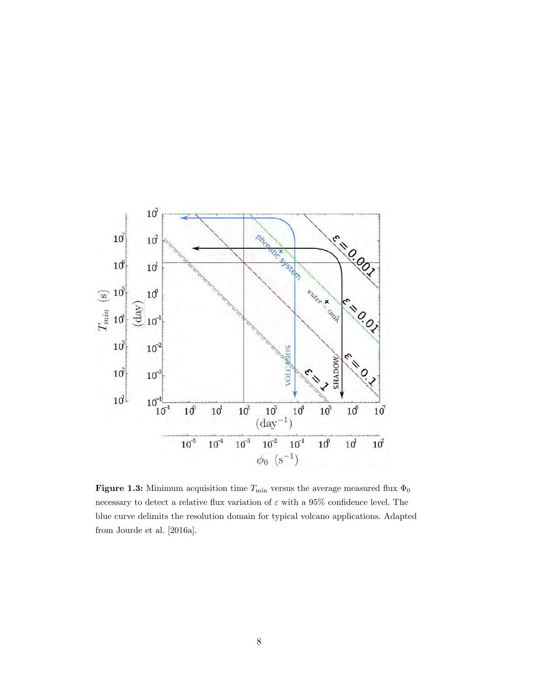

Figure 1.3: Minimum acquisition time  $T_{\rm min}$  versus the average measured flux  $\Phi_0$ necessary to detect a relative flux variation of  $\varepsilon$  with a 95% confidence level. The blue curve delimits the resolution domain for typical volcano applications. Adapted from Jourde et al. [2016a].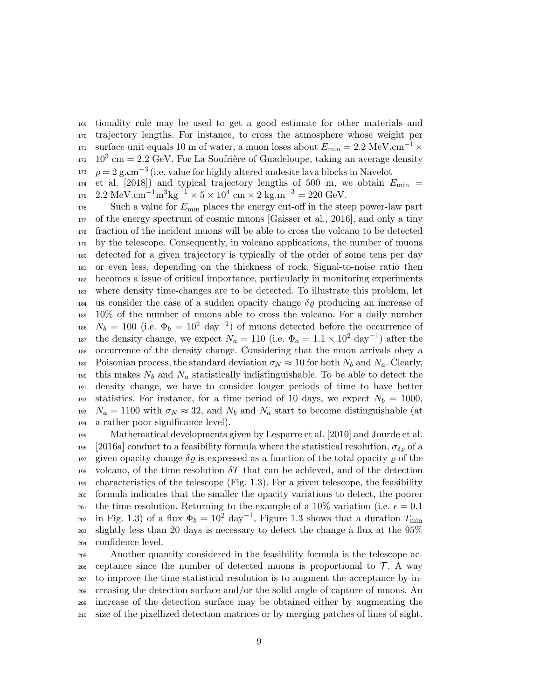<sup>169</sup> tionality rule may be used to get a good estimate for other materials and <sup>170</sup> trajectory lengths. For instance, to cross the atmosphere whose weight per <sup>171</sup> surface unit equals 10 m of water, a muon loses about  $E_{\rm min} = 2.2 \text{ MeV.cm}^{-1} \times$  $10^3$  cm = 2.2 GeV. For La Soufrière of Guadeloupe, taking an average density <sup>173</sup>  $\rho = 2$  g.cm<sup>-3</sup> (i.e. value for highly altered andesite lava blocks in Navelot

 $174$  et al. [2018]) and typical trajectory lengths of 500 m, we obtain  $E_{\text{min}} =$  $175 \quad 2.2 \text{ MeV} \cdot \text{cm}^{-1} \text{m}^3 \text{kg}^{-1} \times 5 \times 10^4 \text{ cm} \times 2 \text{ kg} \cdot \text{m}^{-3} = 220 \text{ GeV}.$ 

 Such a value for  $E_{\text{min}}$  places the energy cut-off in the steep power-law part of the energy spectrum of cosmic muons [Gaisser et al., 2016], and only a tiny fraction of the incident muons will be able to cross the volcano to be detected by the telescope. Consequently, in volcano applications, the number of muons detected for a given trajectory is typically of the order of some tens per day or even less, depending on the thickness of rock. Signal-to-noise ratio then becomes a issue of critical importance, particularly in monitoring experiments where density time-changes are to be detected. To illustrate this problem, let 184 us consider the case of a sudden opacity change  $\delta \rho$  producing an increase of 10% of the number of muons able to cross the volcano. For a daily number  $N_b = 100$  (i.e.  $\Phi_b = 10^2 \text{ day}^{-1}$ ) of muons detected before the occurrence of <sup>187</sup> the density change, we expect  $N_a = 110$  (i.e.  $\Phi_a = 1.1 \times 10^2$  day<sup>-1</sup>) after the occurrence of the density change. Considering that the muon arrivals obey a 189 Poisonian process, the standard deviation  $\sigma_N \approx 10$  for both  $N_b$  and  $N_a$ . Clearly, 190 this makes  $N_b$  and  $N_a$  statistically indistinguishable. To be able to detect the density change, we have to consider longer periods of time to have better 192 statistics. For instance, for a time period of 10 days, we expect  $N_b = 1000$ ,  $N_a = 1100$  with  $\sigma_N \approx 32$ , and  $N_b$  and  $N_a$  start to become distinguishable (at a rather poor significance level).

<sup>195</sup> Mathematical developments given by Lesparre et al. [2010] and Jourde et al. 196 [2016a] conduct to a feasibility formula where the statistical resolution,  $\sigma_{\delta\rho}$  of a 197 given opacity change  $\delta \rho$  is expressed as a function of the total opacity  $\rho$  of the 198 volcano, of the time resolution  $\delta T$  that can be achieved, and of the detection  $_{199}$  characteristics of the telescope (Fig. 1.3). For a given telescope, the feasibility <sup>200</sup> formula indicates that the smaller the opacity variations to detect, the poorer 201 the time-resolution. Returning to the example of a 10% variation (i.e.  $\epsilon = 0.1$ ) <sup>202</sup> in Fig. 1.3) of a flux  $\Phi_b = 10^2 \text{ day}^{-1}$ , Figure 1.3 shows that a duration  $T_{\text{min}}$  $_{203}$  slightly less than 20 days is necessary to detect the change à flux at the 95% <sup>204</sup> confidence level.

 Another quantity considered in the feasibility formula is the telescope ac-206 ceptance since the number of detected muons is proportional to  $\mathcal{T}$ . A way to improve the time-statistical resolution is to augment the acceptance by in- creasing the detection surface and/or the solid angle of capture of muons. An increase of the detection surface may be obtained either by augmenting the size of the pixellized detection matrices or by merging patches of lines of sight.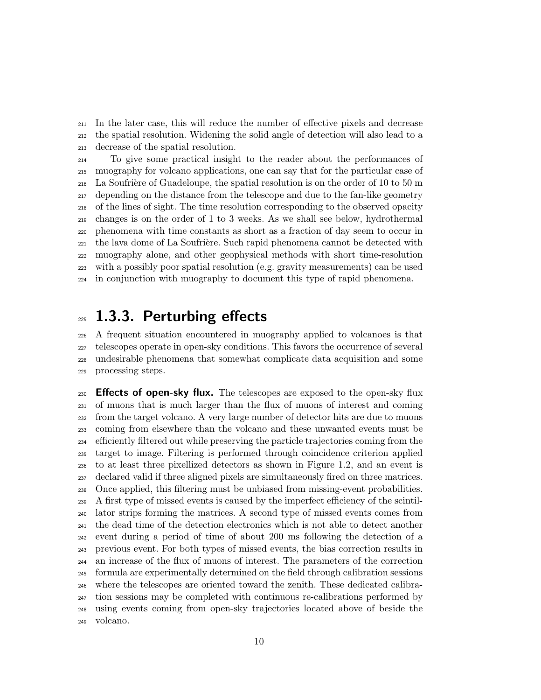In the later case, this will reduce the number of effective pixels and decrease the spatial resolution. Widening the solid angle of detection will also lead to a decrease of the spatial resolution.

 To give some practical insight to the reader about the performances of muography for volcano applications, one can say that for the particular case of 216 La Soufrière of Guadeloupe, the spatial resolution is on the order of 10 to 50 m depending on the distance from the telescope and due to the fan-like geometry of the lines of sight. The time resolution corresponding to the observed opacity changes is on the order of 1 to 3 weeks. As we shall see below, hydrothermal phenomena with time constants as short as a fraction of day seem to occur in <sup>221</sup> the lava dome of La Soufrière. Such rapid phenomena cannot be detected with muography alone, and other geophysical methods with short time-resolution with a possibly poor spatial resolution (e.g. gravity measurements) can be used in conjunction with muography to document this type of rapid phenomena.

#### 1.3.3. Perturbing effects

 A frequent situation encountered in muography applied to volcanoes is that telescopes operate in open-sky conditions. This favors the occurrence of several undesirable phenomena that somewhat complicate data acquisition and some processing steps.

**Effects of open-sky flux.** The telescopes are exposed to the open-sky flux of muons that is much larger than the flux of muons of interest and coming from the target volcano. A very large number of detector hits are due to muons coming from elsewhere than the volcano and these unwanted events must be efficiently filtered out while preserving the particle trajectories coming from the target to image. Filtering is performed through coincidence criterion applied to at least three pixellized detectors as shown in Figure 1.2, and an event is declared valid if three aligned pixels are simultaneously fired on three matrices. Once applied, this filtering must be unbiased from missing-event probabilities. A first type of missed events is caused by the imperfect efficiency of the scintil- lator strips forming the matrices. A second type of missed events comes from the dead time of the detection electronics which is not able to detect another event during a period of time of about 200 ms following the detection of a previous event. For both types of missed events, the bias correction results in an increase of the flux of muons of interest. The parameters of the correction formula are experimentally determined on the field through calibration sessions where the telescopes are oriented toward the zenith. These dedicated calibra- tion sessions may be completed with continuous re-calibrations performed by using events coming from open-sky trajectories located above of beside the volcano.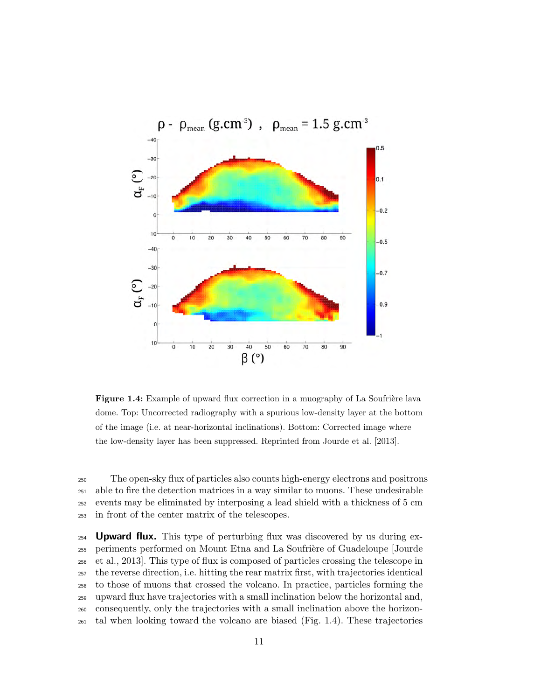

Figure 1.4: Example of upward flux correction in a muography of La Soufrière lava dome. Top: Uncorrected radiography with a spurious low-density layer at the bottom of the image (i.e. at near-horizontal inclinations). Bottom: Corrected image where the low-density layer has been suppressed. Reprinted from Jourde et al. [2013].

 The open-sky flux of particles also counts high-energy electrons and positrons able to fire the detection matrices in a way similar to muons. These undesirable events may be eliminated by interposing a lead shield with a thickness of 5 cm in front of the center matrix of the telescopes.

 **Upward flux.** This type of perturbing flux was discovered by us during ex- periments performed on Mount Etna and La Soufri`ere of Guadeloupe [Jourde et al., 2013]. This type of flux is composed of particles crossing the telescope in the reverse direction, i.e. hitting the rear matrix first, with trajectories identical to those of muons that crossed the volcano. In practice, particles forming the upward flux have trajectories with a small inclination below the horizontal and, consequently, only the trajectories with a small inclination above the horizon-tal when looking toward the volcano are biased (Fig. 1.4). These trajectories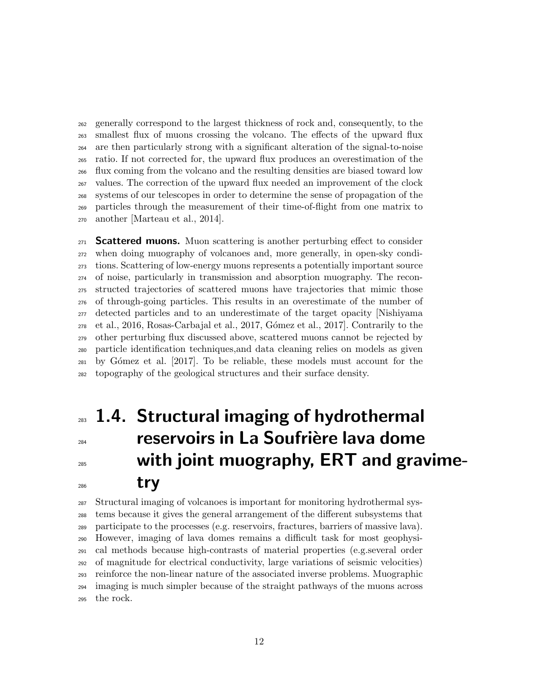generally correspond to the largest thickness of rock and, consequently, to the smallest flux of muons crossing the volcano. The effects of the upward flux are then particularly strong with a significant alteration of the signal-to-noise ratio. If not corrected for, the upward flux produces an overestimation of the flux coming from the volcano and the resulting densities are biased toward low values. The correction of the upward flux needed an improvement of the clock systems of our telescopes in order to determine the sense of propagation of the particles through the measurement of their time-of-flight from one matrix to another [Marteau et al., 2014].

 **Scattered muons.** Muon scattering is another perturbing effect to consider when doing muography of volcanoes and, more generally, in open-sky condi- tions. Scattering of low-energy muons represents a potentially important source of noise, particularly in transmission and absorption muography. The recon- structed trajectories of scattered muons have trajectories that mimic those of through-going particles. This results in an overestimate of the number of detected particles and to an underestimate of the target opacity [Nishiyama et al., 2016, Rosas-Carbajal et al., 2017, G´omez et al., 2017]. Contrarily to the other perturbing flux discussed above, scattered muons cannot be rejected by particle identification techniques,and data cleaning relies on models as given by G´omez et al. [2017]. To be reliable, these models must account for the topography of the geological structures and their surface density.

# **283 1.4. Structural imaging of hydrothermal** 284 reservoirs in La Soufrière lava dome with joint muography, ERT and gravime-try

 Structural imaging of volcanoes is important for monitoring hydrothermal sys- tems because it gives the general arrangement of the different subsystems that participate to the processes (e.g. reservoirs, fractures, barriers of massive lava). However, imaging of lava domes remains a difficult task for most geophysi- cal methods because high-contrasts of material properties (e.g.several order of magnitude for electrical conductivity, large variations of seismic velocities) reinforce the non-linear nature of the associated inverse problems. Muographic imaging is much simpler because of the straight pathways of the muons across the rock.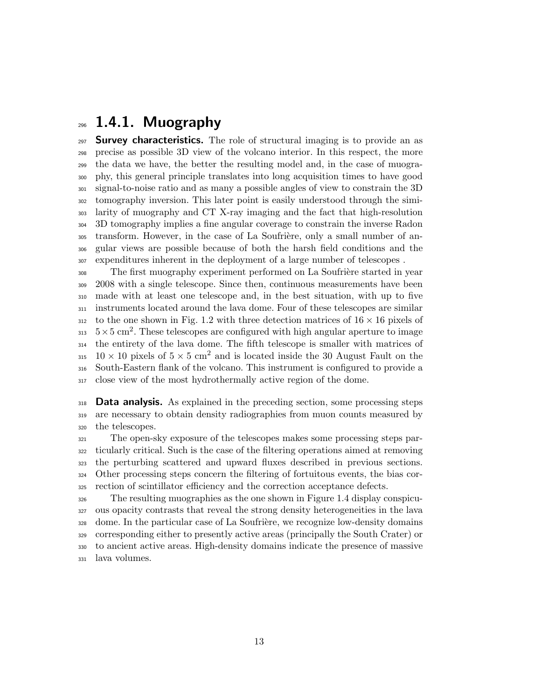#### 1.4.1. Muography

 **Survey characteristics.** The role of structural imaging is to provide an as precise as possible 3D view of the volcano interior. In this respect, the more the data we have, the better the resulting model and, in the case of muogra- phy, this general principle translates into long acquisition times to have good signal-to-noise ratio and as many a possible angles of view to constrain the 3D tomography inversion. This later point is easily understood through the simi- larity of muography and CT X-ray imaging and the fact that high-resolution 3D tomography implies a fine angular coverage to constrain the inverse Radon <sup>305</sup> transform. However, in the case of La Soufrière, only a small number of an- gular views are possible because of both the harsh field conditions and the expenditures inherent in the deployment of a large number of telescopes .

<sup>308</sup> The first muography experiment performed on La Soufrière started in year 2008 with a single telescope. Since then, continuous measurements have been made with at least one telescope and, in the best situation, with up to five instruments located around the lava dome. Four of these telescopes are similar to the one shown in Fig. 1.2 with three detection matrices of  $16 \times 16$  pixels of  $5 \times 5$  cm<sup>2</sup>. These telescopes are configured with high angular aperture to image the entirety of the lava dome. The fifth telescope is smaller with matrices of 315 10  $\times$  10 pixels of  $5 \times 5$  cm<sup>2</sup> and is located inside the 30 August Fault on the South-Eastern flank of the volcano. This instrument is configured to provide a close view of the most hydrothermally active region of the dome.

**Data analysis.** As explained in the preceding section, some processing steps are necessary to obtain density radiographies from muon counts measured by the telescopes.

 The open-sky exposure of the telescopes makes some processing steps par- ticularly critical. Such is the case of the filtering operations aimed at removing the perturbing scattered and upward fluxes described in previous sections. Other processing steps concern the filtering of fortuitous events, the bias cor-rection of scintillator efficiency and the correction acceptance defects.

 The resulting muographies as the one shown in Figure 1.4 display conspicu- ous opacity contrasts that reveal the strong density heterogeneities in the lava dome. In the particular case of La Soufrière, we recognize low-density domains corresponding either to presently active areas (principally the South Crater) or to ancient active areas. High-density domains indicate the presence of massive lava volumes.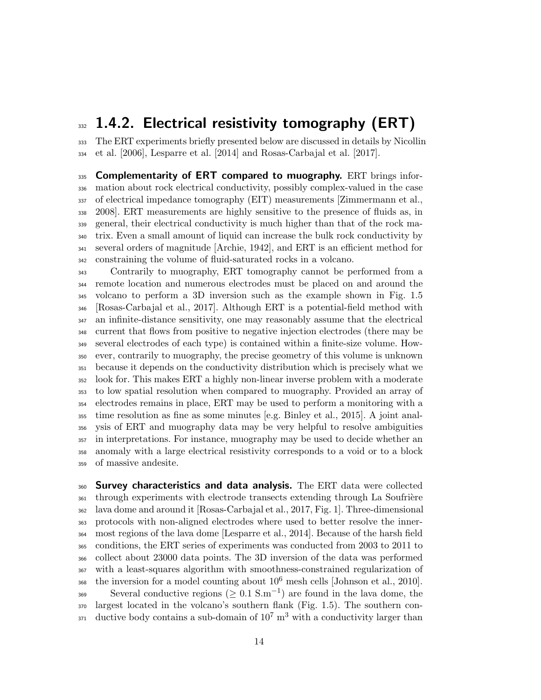#### 1.4.2. Electrical resistivity tomography (ERT)

 The ERT experiments briefly presented below are discussed in details by Nicollin et al. [2006], Lesparre et al. [2014] and Rosas-Carbajal et al. [2017].

335 Complementarity of ERT compared to muography. ERT brings infor- mation about rock electrical conductivity, possibly complex-valued in the case of electrical impedance tomography (EIT) measurements [Zimmermann et al., 2008]. ERT measurements are highly sensitive to the presence of fluids as, in general, their electrical conductivity is much higher than that of the rock ma- trix. Even a small amount of liquid can increase the bulk rock conductivity by several orders of magnitude [Archie, 1942], and ERT is an efficient method for constraining the volume of fluid-saturated rocks in a volcano.

 Contrarily to muography, ERT tomography cannot be performed from a remote location and numerous electrodes must be placed on and around the volcano to perform a 3D inversion such as the example shown in Fig. 1.5 [Rosas-Carbajal et al., 2017]. Although ERT is a potential-field method with an infinite-distance sensitivity, one may reasonably assume that the electrical current that flows from positive to negative injection electrodes (there may be several electrodes of each type) is contained within a finite-size volume. How- ever, contrarily to muography, the precise geometry of this volume is unknown because it depends on the conductivity distribution which is precisely what we look for. This makes ERT a highly non-linear inverse problem with a moderate to low spatial resolution when compared to muography. Provided an array of electrodes remains in place, ERT may be used to perform a monitoring with a time resolution as fine as some minutes [e.g. Binley et al., 2015]. A joint anal- ysis of ERT and muography data may be very helpful to resolve ambiguities in interpretations. For instance, muography may be used to decide whether an anomaly with a large electrical resistivity corresponds to a void or to a block of massive andesite.

360 Survey characteristics and data analysis. The ERT data were collected <sup>361</sup> through experiments with electrode transects extending through La Soufrière lava dome and around it [Rosas-Carbajal et al., 2017, Fig. 1]. Three-dimensional protocols with non-aligned electrodes where used to better resolve the inner- most regions of the lava dome [Lesparre et al., 2014]. Because of the harsh field conditions, the ERT series of experiments was conducted from 2003 to 2011 to collect about 23000 data points. The 3D inversion of the data was performed with a least-squares algorithm with smoothness-constrained regularization of  $\frac{1}{100}$  the inversion for a model counting about  $10^6$  mesh cells [Johnson et al., 2010]. Several conductive regions ( $\geq 0.1$  S.m<sup>-1</sup>) are found in the lava dome, the largest located in the volcano's southern flank (Fig. 1.5). The southern con- $_{371}$  ductive body contains a sub-domain of  $10^7 \text{ m}^3$  with a conductivity larger than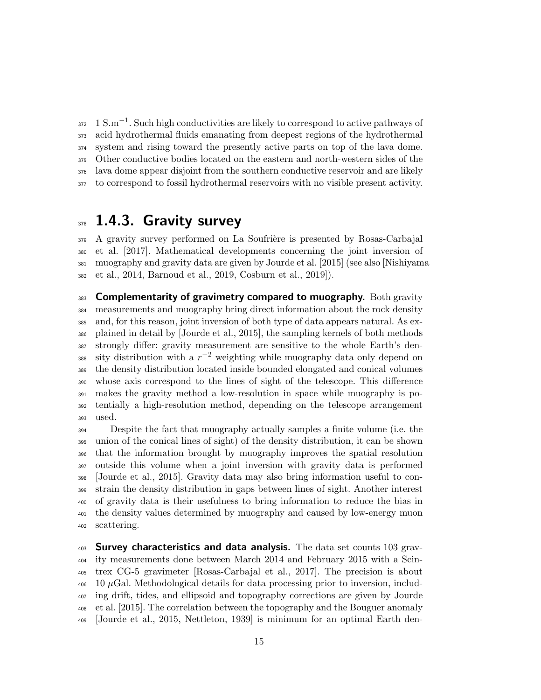$1 S.m^{-1}$ . Such high conductivities are likely to correspond to active pathways of acid hydrothermal fluids emanating from deepest regions of the hydrothermal system and rising toward the presently active parts on top of the lava dome. Other conductive bodies located on the eastern and north-western sides of the lava dome appear disjoint from the southern conductive reservoir and are likely to correspond to fossil hydrothermal reservoirs with no visible present activity.

#### 378 1.4.3. Gravity survey

 A gravity survey performed on La Soufrière is presented by Rosas-Carbajal et al. [2017]. Mathematical developments concerning the joint inversion of muography and gravity data are given by Jourde et al. [2015] (see also [Nishiyama et al., 2014, Barnoud et al., 2019, Cosburn et al., 2019]).

 Complementarity of gravimetry compared to muography. Both gravity measurements and muography bring direct information about the rock density and, for this reason, joint inversion of both type of data appears natural. As ex- plained in detail by [Jourde et al., 2015], the sampling kernels of both methods strongly differ: gravity measurement are sensitive to the whole Earth's den-388 sity distribution with a  $r^{-2}$  weighting while muography data only depend on the density distribution located inside bounded elongated and conical volumes whose axis correspond to the lines of sight of the telescope. This difference makes the gravity method a low-resolution in space while muography is po- tentially a high-resolution method, depending on the telescope arrangement used.

 Despite the fact that muography actually samples a finite volume (i.e. the union of the conical lines of sight) of the density distribution, it can be shown that the information brought by muography improves the spatial resolution outside this volume when a joint inversion with gravity data is performed [Jourde et al., 2015]. Gravity data may also bring information useful to con- strain the density distribution in gaps between lines of sight. Another interest of gravity data is their usefulness to bring information to reduce the bias in the density values determined by muography and caused by low-energy muon scattering.

 Survey characteristics and data analysis. The data set counts 103 grav- ity measurements done between March 2014 and February 2015 with a Scin- trex CG-5 gravimeter [Rosas-Carbajal et al., 2017]. The precision is about  $406 \quad 10 \mu$ Gal. Methodological details for data processing prior to inversion, includ- ing drift, tides, and ellipsoid and topography corrections are given by Jourde et al. [2015]. The correlation between the topography and the Bouguer anomaly [Jourde et al., 2015, Nettleton, 1939] is minimum for an optimal Earth den-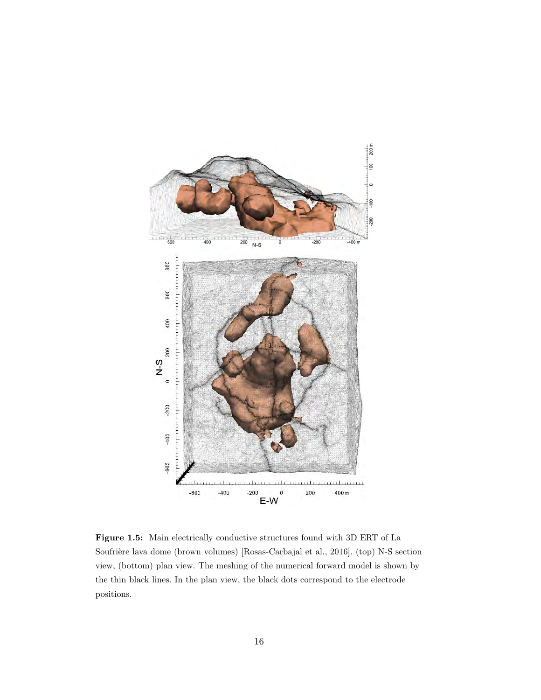

Figure 1.5: Main electrically conductive structures found with 3D ERT of La Soufrière lava dome (brown volumes) [Rosas-Carbajal et al., 2016]. (top) N-S section view, (bottom) plan view. The meshing of the numerical forward model is shown by the thin black lines. In the plan view, the black dots correspond to the electrode positions.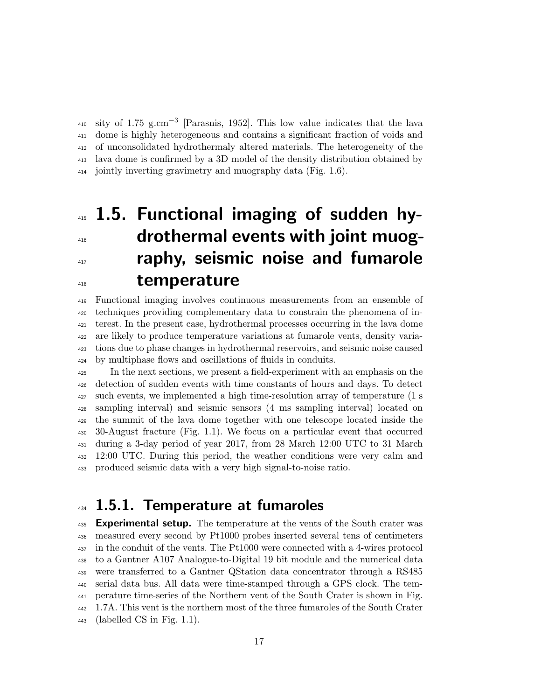410 sity of 1.75 g.cm<sup>-3</sup> [Parasnis, 1952]. This low value indicates that the lava dome is highly heterogeneous and contains a significant fraction of voids and of unconsolidated hydrothermaly altered materials. The heterogeneity of the lava dome is confirmed by a 3D model of the density distribution obtained by jointly inverting gravimetry and muography data (Fig. 1.6).

# 415 1.5. Functional imaging of sudden hy-**drothermal events with joint muog-raphy, seismic noise and fumarole** temperature

 Functional imaging involves continuous measurements from an ensemble of techniques providing complementary data to constrain the phenomena of in- terest. In the present case, hydrothermal processes occurring in the lava dome are likely to produce temperature variations at fumarole vents, density varia- tions due to phase changes in hydrothermal reservoirs, and seismic noise caused by multiphase flows and oscillations of fluids in conduits.

 In the next sections, we present a field-experiment with an emphasis on the detection of sudden events with time constants of hours and days. To detect such events, we implemented a high time-resolution array of temperature (1 s sampling interval) and seismic sensors (4 ms sampling interval) located on the summit of the lava dome together with one telescope located inside the 30-August fracture (Fig. 1.1). We focus on a particular event that occurred during a 3-day period of year 2017, from 28 March 12:00 UTC to 31 March 12:00 UTC. During this period, the weather conditions were very calm and produced seismic data with a very high signal-to-noise ratio.

#### 434 1.5.1. Temperature at fumaroles

**Experimental setup.** The temperature at the vents of the South crater was measured every second by Pt1000 probes inserted several tens of centimeters in the conduit of the vents. The Pt1000 were connected with a 4-wires protocol to a Gantner A107 Analogue-to-Digital 19 bit module and the numerical data were transferred to a Gantner QStation data concentrator through a RS485 serial data bus. All data were time-stamped through a GPS clock. The tem- perature time-series of the Northern vent of the South Crater is shown in Fig. 1.7A. This vent is the northern most of the three fumaroles of the South Crater (labelled CS in Fig. 1.1).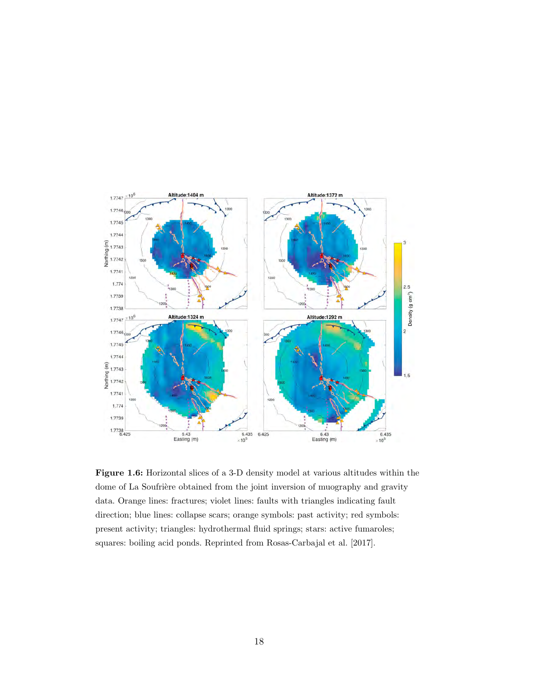

Figure 1.6: Horizontal slices of a 3-D density model at various altitudes within the dome of La Soufrière obtained from the joint inversion of muography and gravity data. Orange lines: fractures; violet lines: faults with triangles indicating fault direction; blue lines: collapse scars; orange symbols: past activity; red symbols: present activity; triangles: hydrothermal fluid springs; stars: active fumaroles; squares: boiling acid ponds. Reprinted from Rosas-Carbajal et al. [2017].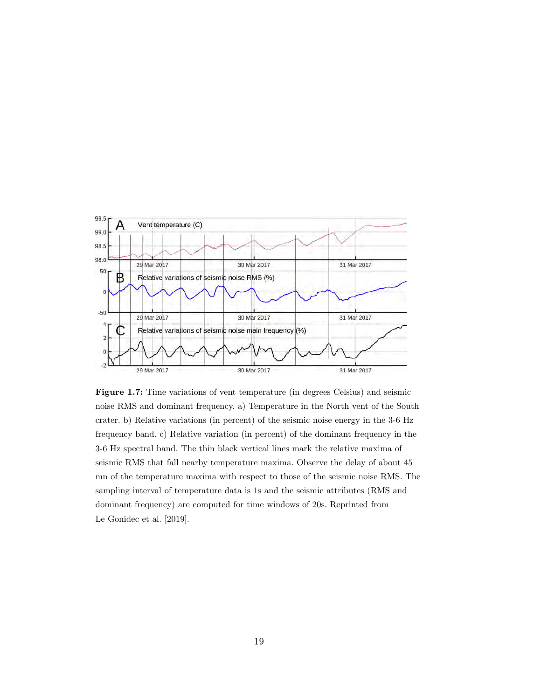

Figure 1.7: Time variations of vent temperature (in degrees Celsius) and seismic noise RMS and dominant frequency. a) Temperature in the North vent of the South crater. b) Relative variations (in percent) of the seismic noise energy in the 3-6 Hz frequency band. c) Relative variation (in percent) of the dominant frequency in the 3-6 Hz spectral band. The thin black vertical lines mark the relative maxima of seismic RMS that fall nearby temperature maxima. Observe the delay of about 45 mn of the temperature maxima with respect to those of the seismic noise RMS. The sampling interval of temperature data is 1s and the seismic attributes (RMS and dominant frequency) are computed for time windows of 20s. Reprinted from Le Gonidec et al. [2019].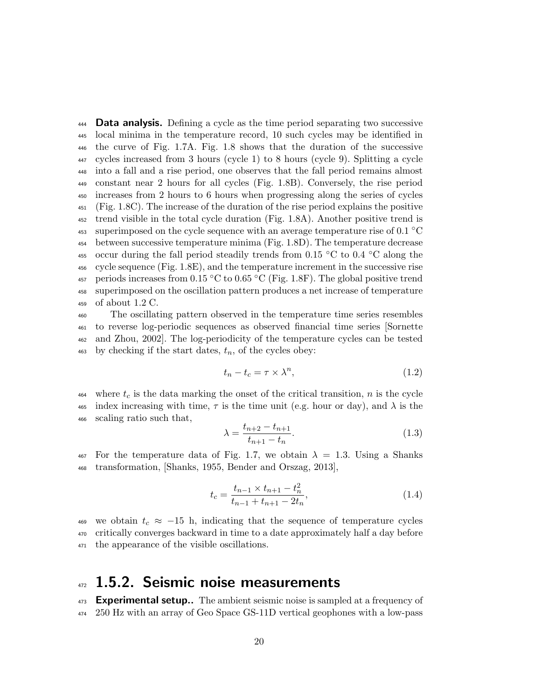Data analysis. Defining a cycle as the time period separating two successive local minima in the temperature record, 10 such cycles may be identified in the curve of Fig. 1.7A. Fig. 1.8 shows that the duration of the successive cycles increased from 3 hours (cycle 1) to 8 hours (cycle 9). Splitting a cycle into a fall and a rise period, one observes that the fall period remains almost constant near 2 hours for all cycles (Fig. 1.8B). Conversely, the rise period increases from 2 hours to 6 hours when progressing along the series of cycles (Fig. 1.8C). The increase of the duration of the rise period explains the positive trend visible in the total cycle duration (Fig. 1.8A). Another positive trend is 453 superimposed on the cycle sequence with an average temperature rise of 0.1  $^{\circ}$ C between successive temperature minima (Fig. 1.8D). The temperature decrease 455 occur during the fall period steadily trends from 0.15  $\rm{°C}$  to 0.4  $\rm{°C}$  along the cycle sequence (Fig. 1.8E), and the temperature increment in the successive rise 457 periods increases from  $0.15 \text{ °C}$  to  $0.65 \text{ °C}$  (Fig. 1.8F). The global positive trend superimposed on the oscillation pattern produces a net increase of temperature of about 1.2 C.

 The oscillating pattern observed in the temperature time series resembles to reverse log-periodic sequences as observed financial time series [Sornette and Zhou, 2002]. The log-periodicity of the temperature cycles can be tested by checking if the start dates,  $t_n$ , of the cycles obey:

$$
t_n - t_c = \tau \times \lambda^n,\tag{1.2}
$$

 $\frac{464}{464}$  where  $t_c$  is the data marking the onset of the critical transition, n is the cycle 465 index increasing with time,  $\tau$  is the time unit (e.g. hour or day), and  $\lambda$  is the <sup>466</sup> scaling ratio such that,

$$
\lambda = \frac{t_{n+2} - t_{n+1}}{t_{n+1} - t_n}.\tag{1.3}
$$

 $467$  For the temperature data of Fig. 1.7, we obtain  $\lambda = 1.3$ . Using a Shanks <sup>468</sup> transformation, [Shanks, 1955, Bender and Orszag, 2013],

$$
t_c = \frac{t_{n-1} \times t_{n+1} - t_n^2}{t_{n-1} + t_{n+1} - 2t_n},\tag{1.4}
$$

469 we obtain  $t_c \approx -15$  h, indicating that the sequence of temperature cycles <sup>470</sup> critically converges backward in time to a date approximately half a day before <sup>471</sup> the appearance of the visible oscillations.

#### 472 1.5.2. Seismic noise measurements

473 Experimental setup.. The ambient seismic noise is sampled at a frequency of <sup>474</sup> 250 Hz with an array of Geo Space GS-11D vertical geophones with a low-pass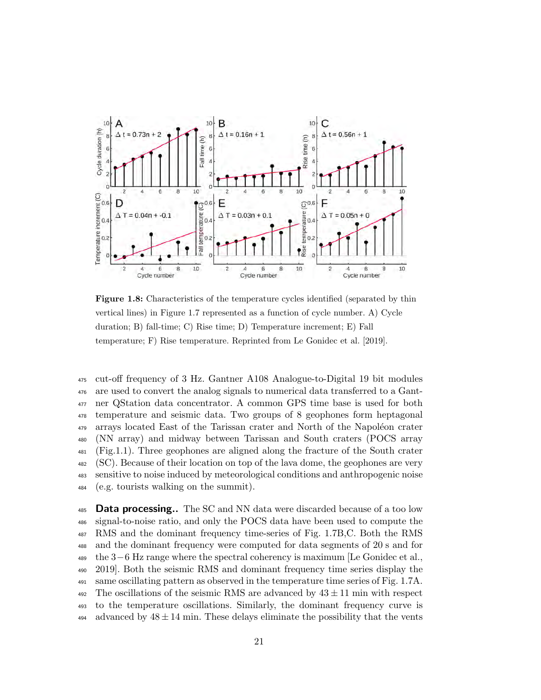

Figure 1.8: Characteristics of the temperature cycles identified (separated by thin vertical lines) in Figure 1.7 represented as a function of cycle number. A) Cycle duration; B) fall-time; C) Rise time; D) Temperature increment; E) Fall temperature; F) Rise temperature. Reprinted from Le Gonidec et al. [2019].

 cut-off frequency of 3 Hz. Gantner A108 Analogue-to-Digital 19 bit modules are used to convert the analog signals to numerical data transferred to a Gant- ner QStation data concentrator. A common GPS time base is used for both temperature and seismic data. Two groups of 8 geophones form heptagonal <sup>479</sup> arrays located East of the Tarissan crater and North of the Napoléon crater (NN array) and midway between Tarissan and South craters (POCS array (Fig.1.1). Three geophones are aligned along the fracture of the South crater (SC). Because of their location on top of the lava dome, the geophones are very sensitive to noise induced by meteorological conditions and anthropogenic noise (e.g. tourists walking on the summit).

485 Data processing.. The SC and NN data were discarded because of a too low signal-to-noise ratio, and only the POCS data have been used to compute the RMS and the dominant frequency time-series of Fig. 1.7B,C. Both the RMS and the dominant frequency were computed for data segments of 20 s and for the 3−6 Hz range where the spectral coherency is maximum [Le Gonidec et al., 2019]. Both the seismic RMS and dominant frequency time series display the same oscillating pattern as observed in the temperature time series of Fig. 1.7A. 492 The oscillations of the seismic RMS are advanced by  $43 \pm 11$  min with respect to the temperature oscillations. Similarly, the dominant frequency curve is 494 advanced by  $48 \pm 14$  min. These delays eliminate the possibility that the vents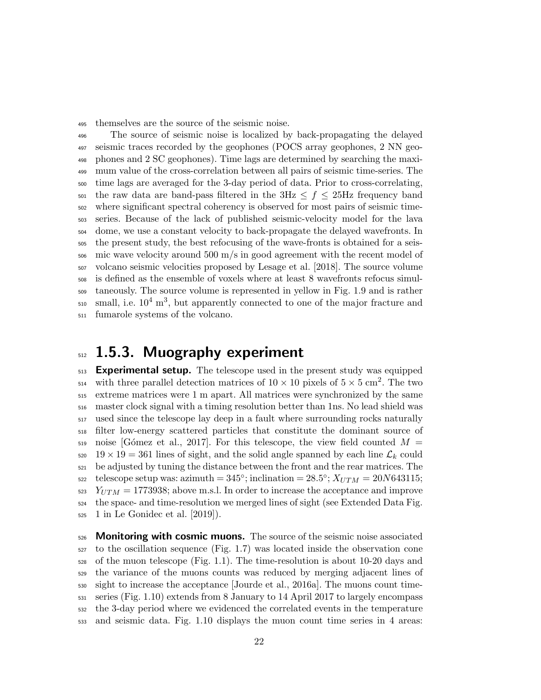themselves are the source of the seismic noise.

 The source of seismic noise is localized by back-propagating the delayed seismic traces recorded by the geophones (POCS array geophones, 2 NN geo- phones and 2 SC geophones). Time lags are determined by searching the maxi- mum value of the cross-correlation between all pairs of seismic time-series. The time lags are averaged for the 3-day period of data. Prior to cross-correlating, 501 the raw data are band-pass filtered in the  $3Hz \le f \le 25Hz$  frequency band where significant spectral coherency is observed for most pairs of seismic time- series. Because of the lack of published seismic-velocity model for the lava dome, we use a constant velocity to back-propagate the delayed wavefronts. In the present study, the best refocusing of the wave-fronts is obtained for a seis- mic wave velocity around 500 m/s in good agreement with the recent model of volcano seismic velocities proposed by Lesage et al. [2018]. The source volume is defined as the ensemble of voxels where at least 8 wavefronts refocus simul- taneously. The source volume is represented in yellow in Fig. 1.9 and is rather  $\mu$ <sub>510</sub> small, i.e.  $10^4 \text{ m}^3$ , but apparently connected to one of the major fracture and fumarole systems of the volcano.

#### 512 1.5.3. Muography experiment

**Experimental setup.** The telescope used in the present study was equipped <sup>514</sup> with three parallel detection matrices of  $10 \times 10$  pixels of  $5 \times 5$  cm<sup>2</sup>. The two extreme matrices were 1 m apart. All matrices were synchronized by the same master clock signal with a timing resolution better than 1ns. No lead shield was used since the telescope lay deep in a fault where surrounding rocks naturally filter low-energy scattered particles that constitute the dominant source of 519 noise [Gómez et al., 2017]. For this telescope, the view field counted  $M =$ 520 19  $\times$  19 = 361 lines of sight, and the solid angle spanned by each line  $\mathcal{L}_k$  could be adjusted by tuning the distance between the front and the rear matrices. The s22 telescope setup was: azimuth =  $345^{\circ}$ ; inclination =  $28.5^{\circ}$ ;  $X_{UTM} = 20N643115$ ;  $_{523}$   $Y_{UTM} = 1773938$ ; above m.s.l. In order to increase the acceptance and improve the space- and time-resolution we merged lines of sight (see Extended Data Fig. 1 in Le Gonidec et al. [2019]).

526 Monitoring with cosmic muons. The source of the seismic noise associated to the oscillation sequence (Fig. 1.7) was located inside the observation cone of the muon telescope (Fig. 1.1). The time-resolution is about 10-20 days and the variance of the muons counts was reduced by merging adjacent lines of sight to increase the acceptance [Jourde et al., 2016a]. The muons count time- series (Fig. 1.10) extends from 8 January to 14 April 2017 to largely encompass the 3-day period where we evidenced the correlated events in the temperature and seismic data. Fig. 1.10 displays the muon count time series in 4 areas: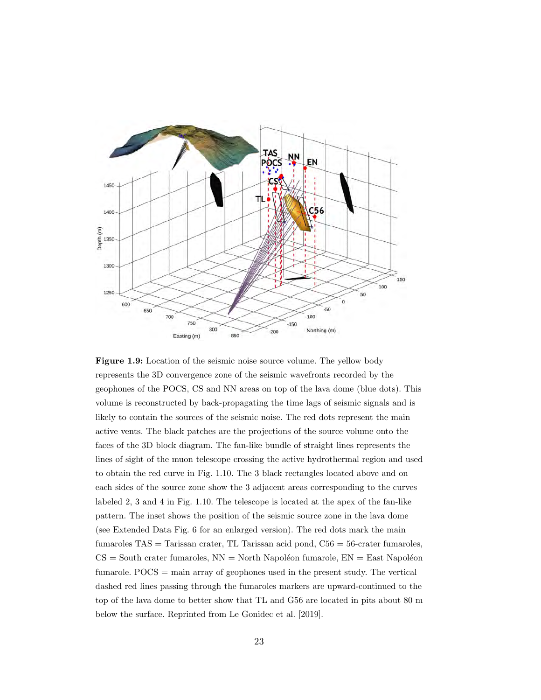

Figure 1.9: Location of the seismic noise source volume. The yellow body represents the 3D convergence zone of the seismic wavefronts recorded by the geophones of the POCS, CS and NN areas on top of the lava dome (blue dots). This volume is reconstructed by back-propagating the time lags of seismic signals and is likely to contain the sources of the seismic noise. The red dots represent the main active vents. The black patches are the projections of the source volume onto the faces of the 3D block diagram. The fan-like bundle of straight lines represents the lines of sight of the muon telescope crossing the active hydrothermal region and used to obtain the red curve in Fig. 1.10. The 3 black rectangles located above and on each sides of the source zone show the 3 adjacent areas corresponding to the curves labeled 2, 3 and 4 in Fig. 1.10. The telescope is located at the apex of the fan-like pattern. The inset shows the position of the seismic source zone in the lava dome (see Extended Data Fig. 6 for an enlarged version). The red dots mark the main fumaroles TAS = Tarissan crater, TL Tarissan acid pond, C56 = 56-crater fumaroles,  $CS =$  South crater fumaroles,  $NN =$  North Napoléon fumarole,  $EN =$  East Napoléon fumarole. POCS = main array of geophones used in the present study. The vertical dashed red lines passing through the fumaroles markers are upward-continued to the top of the lava dome to better show that TL and G56 are located in pits about 80 m below the surface. Reprinted from Le Gonidec et al. [2019].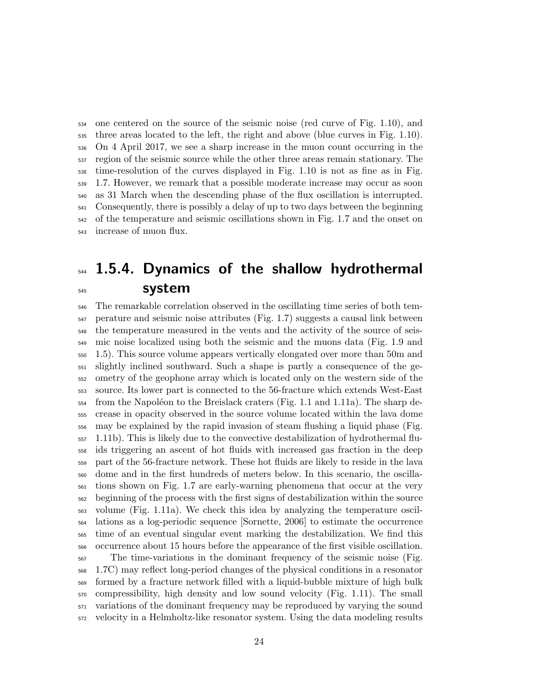one centered on the source of the seismic noise (red curve of Fig. 1.10), and three areas located to the left, the right and above (blue curves in Fig. 1.10). On 4 April 2017, we see a sharp increase in the muon count occurring in the region of the seismic source while the other three areas remain stationary. The time-resolution of the curves displayed in Fig. 1.10 is not as fine as in Fig. 1.7. However, we remark that a possible moderate increase may occur as soon as 31 March when the descending phase of the flux oscillation is interrupted. Consequently, there is possibly a delay of up to two days between the beginning of the temperature and seismic oscillations shown in Fig. 1.7 and the onset on increase of muon flux.

### $_{544}$  1.5.4. Dynamics of the shallow hydrothermal system

 The remarkable correlation observed in the oscillating time series of both tem- perature and seismic noise attributes (Fig. 1.7) suggests a causal link between the temperature measured in the vents and the activity of the source of seis- mic noise localized using both the seismic and the muons data (Fig. 1.9 and 1.5). This source volume appears vertically elongated over more than 50m and slightly inclined southward. Such a shape is partly a consequence of the ge- ometry of the geophone array which is located only on the western side of the source. Its lower part is connected to the 56-fracture which extends West-East  $_{554}$  from the Napoléon to the Breislack craters (Fig. 1.1 and 1.11a). The sharp de- crease in opacity observed in the source volume located within the lava dome may be explained by the rapid invasion of steam flushing a liquid phase (Fig. 1.11b). This is likely due to the convective destabilization of hydrothermal flu- ids triggering an ascent of hot fluids with increased gas fraction in the deep part of the 56-fracture network. These hot fluids are likely to reside in the lava dome and in the first hundreds of meters below. In this scenario, the oscilla- tions shown on Fig. 1.7 are early-warning phenomena that occur at the very beginning of the process with the first signs of destabilization within the source volume (Fig. 1.11a). We check this idea by analyzing the temperature oscil- lations as a log-periodic sequence [Sornette, 2006] to estimate the occurrence time of an eventual singular event marking the destabilization. We find this occurrence about 15 hours before the appearance of the first visible oscillation. The time-variations in the dominant frequency of the seismic noise (Fig. 1.7C) may reflect long-period changes of the physical conditions in a resonator formed by a fracture network filled with a liquid-bubble mixture of high bulk

 compressibility, high density and low sound velocity (Fig. 1.11). The small variations of the dominant frequency may be reproduced by varying the sound velocity in a Helmholtz-like resonator system. Using the data modeling results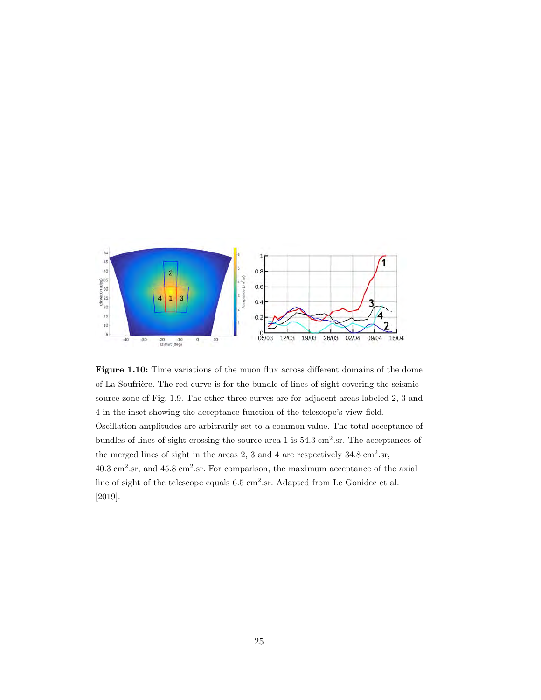

Figure 1.10: Time variations of the muon flux across different domains of the dome of La Soufrière. The red curve is for the bundle of lines of sight covering the seismic source zone of Fig. 1.9. The other three curves are for adjacent areas labeled 2, 3 and 4 in the inset showing the acceptance function of the telescope's view-field. Oscillation amplitudes are arbitrarily set to a common value. The total acceptance of bundles of lines of sight crossing the source area 1 is  $54.3 \text{ cm}^2 \text{.sr}$ . The acceptances of the merged lines of sight in the areas 2, 3 and 4 are respectively  $34.8 \text{ cm}^2 \text{.sr}$ ,  $40.3 \text{ cm}^2 \text{ sr}, \text{ and } 45.8 \text{ cm}^2 \text{ sr}.$  For comparison, the maximum acceptance of the axial line of sight of the telescope equals  $6.5 \text{ cm}^2 \text{.sr}$ . Adapted from Le Gonidec et al. [2019].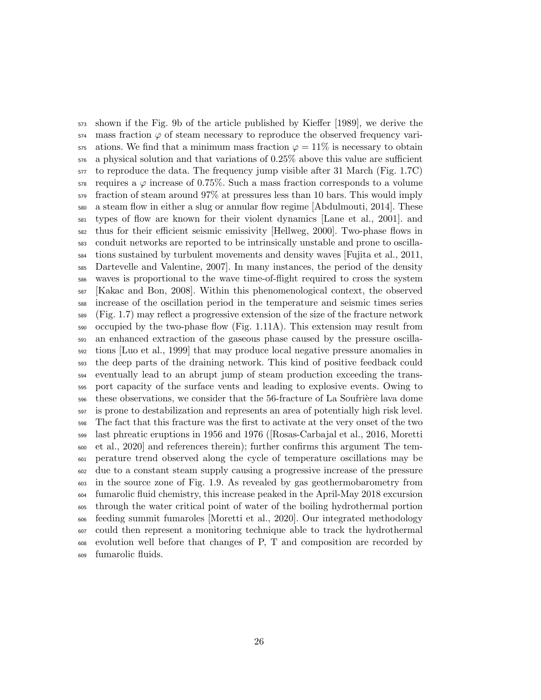shown if the Fig. 9b of the article published by Kieffer [1989], we derive the mass fraction  $\varphi$  of steam necessary to reproduce the observed frequency vari- ations. We find that a minimum mass fraction  $\varphi = 11\%$  is necessary to obtain a physical solution and that variations of 0.25% above this value are sufficient to reproduce the data. The frequency jump visible after 31 March (Fig. 1.7C) requires a  $\varphi$  increase of 0.75%. Such a mass fraction corresponds to a volume fraction of steam around 97% at pressures less than 10 bars. This would imply a steam flow in either a slug or annular flow regime [Abdulmouti, 2014]. These types of flow are known for their violent dynamics [Lane et al., 2001]. and thus for their efficient seismic emissivity [Hellweg, 2000]. Two-phase flows in conduit networks are reported to be intrinsically unstable and prone to oscilla- tions sustained by turbulent movements and density waves [Fujita et al., 2011, Dartevelle and Valentine, 2007]. In many instances, the period of the density waves is proportional to the wave time-of-flight required to cross the system [Kakac and Bon, 2008]. Within this phenomenological context, the observed increase of the oscillation period in the temperature and seismic times series (Fig. 1.7) may reflect a progressive extension of the size of the fracture network occupied by the two-phase flow (Fig. 1.11A). This extension may result from an enhanced extraction of the gaseous phase caused by the pressure oscilla- tions [Luo et al., 1999] that may produce local negative pressure anomalies in the deep parts of the draining network. This kind of positive feedback could eventually lead to an abrupt jump of steam production exceeding the trans- port capacity of the surface vents and leading to explosive events. Owing to 596 these observations, we consider that the 56-fracture of La Soufrière lava dome is prone to destabilization and represents an area of potentially high risk level. The fact that this fracture was the first to activate at the very onset of the two last phreatic eruptions in 1956 and 1976 ([Rosas-Carbajal et al., 2016, Moretti et al., 2020] and references therein); further confirms this argument The tem- perature trend observed along the cycle of temperature oscillations may be due to a constant steam supply causing a progressive increase of the pressure in the source zone of Fig. 1.9. As revealed by gas geothermobarometry from fumarolic fluid chemistry, this increase peaked in the April-May 2018 excursion through the water critical point of water of the boiling hydrothermal portion feeding summit fumaroles [Moretti et al., 2020]. Our integrated methodology could then represent a monitoring technique able to track the hydrothermal evolution well before that changes of P, T and composition are recorded by fumarolic fluids.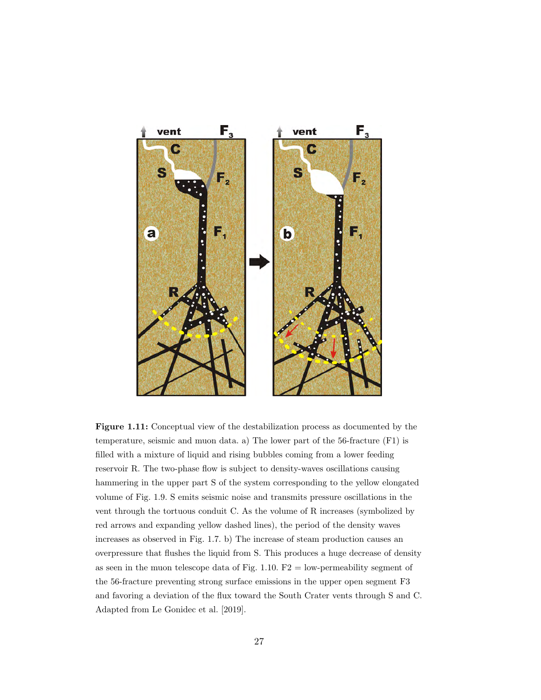

Figure 1.11: Conceptual view of the destabilization process as documented by the temperature, seismic and muon data. a) The lower part of the 56-fracture (F1) is filled with a mixture of liquid and rising bubbles coming from a lower feeding reservoir R. The two-phase flow is subject to density-waves oscillations causing hammering in the upper part S of the system corresponding to the yellow elongated volume of Fig. 1.9. S emits seismic noise and transmits pressure oscillations in the vent through the tortuous conduit C. As the volume of R increases (symbolized by red arrows and expanding yellow dashed lines), the period of the density waves increases as observed in Fig. 1.7. b) The increase of steam production causes an overpressure that flushes the liquid from S. This produces a huge decrease of density as seen in the muon telescope data of Fig.  $1.10$ . F2 = low-permeability segment of the 56-fracture preventing strong surface emissions in the upper open segment F3 and favoring a deviation of the flux toward the South Crater vents through S and C. Adapted from Le Gonidec et al. [2019].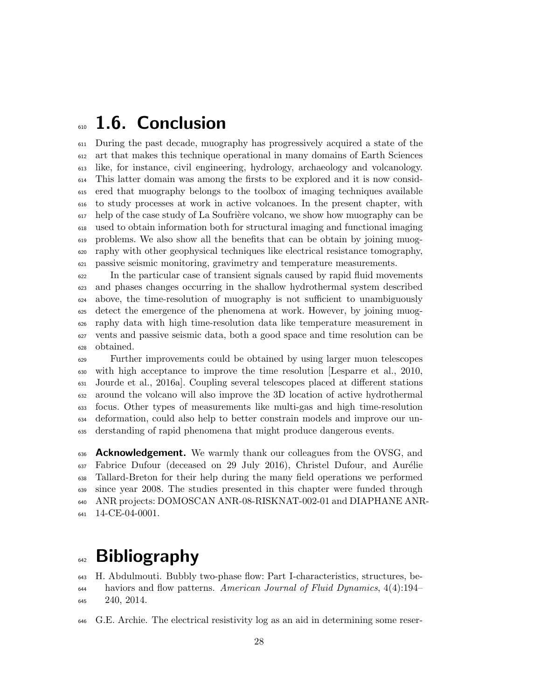## 610 1.6. Conclusion

 During the past decade, muography has progressively acquired a state of the art that makes this technique operational in many domains of Earth Sciences like, for instance, civil engineering, hydrology, archaeology and volcanology. This latter domain was among the firsts to be explored and it is now consid- ered that muography belongs to the toolbox of imaging techniques available to study processes at work in active volcanoes. In the present chapter, with help of the case study of La Soufrière volcano, we show how muography can be used to obtain information both for structural imaging and functional imaging problems. We also show all the benefits that can be obtain by joining muog- raphy with other geophysical techniques like electrical resistance tomography, passive seismic monitoring, gravimetry and temperature measurements.

 In the particular case of transient signals caused by rapid fluid movements and phases changes occurring in the shallow hydrothermal system described above, the time-resolution of muography is not sufficient to unambiguously detect the emergence of the phenomena at work. However, by joining muog- raphy data with high time-resolution data like temperature measurement in vents and passive seismic data, both a good space and time resolution can be obtained.

 Further improvements could be obtained by using larger muon telescopes with high acceptance to improve the time resolution [Lesparre et al., 2010, Jourde et al., 2016a]. Coupling several telescopes placed at different stations around the volcano will also improve the 3D location of active hydrothermal focus. Other types of measurements like multi-gas and high time-resolution deformation, could also help to better constrain models and improve our un-derstanding of rapid phenomena that might produce dangerous events.

 **Acknowledgement.** We warmly thank our colleagues from the OVSG, and Fabrice Dufour (deceased on 29 July 2016), Christel Dufour, and Aurélie Tallard-Breton for their help during the many field operations we performed since year 2008. The studies presented in this chapter were funded through ANR projects: DOMOSCAN ANR-08-RISKNAT-002-01 and DIAPHANE ANR-641 14-CE-04-0001.

## 642 Bibliography

 H. Abdulmouti. Bubbly two-phase flow: Part I-characteristics, structures, be- haviors and flow patterns. American Journal of Fluid Dynamics, 4(4):194– 240, 2014.

G.E. Archie. The electrical resistivity log as an aid in determining some reser-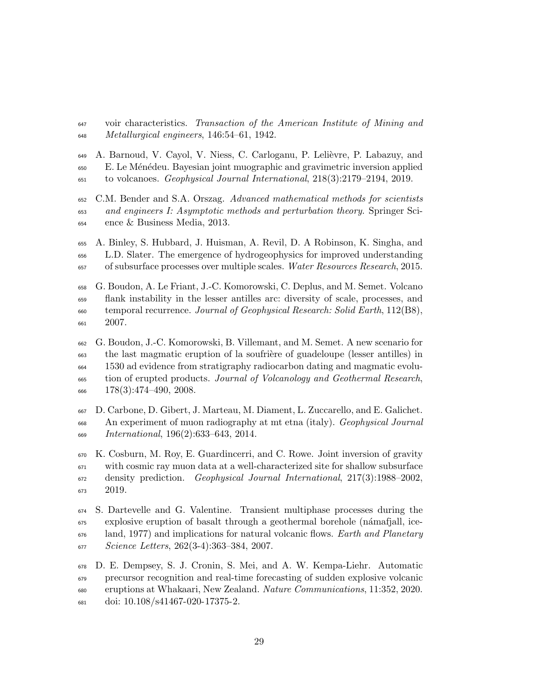voir characteristics. Transaction of the American Institute of Mining and Metallurgical engineers, 146:54–61, 1942.

649 A. Barnoud, V. Cayol, V. Niess, C. Carloganu, P. Lelièvre, P. Labazuy, and E. Le M´en´edeu. Bayesian joint muographic and gravimetric inversion applied to volcanoes. Geophysical Journal International, 218(3):2179–2194, 2019.

 C.M. Bender and S.A. Orszag. Advanced mathematical methods for scientists and engineers I: Asymptotic methods and perturbation theory. Springer Sci-ence & Business Media, 2013.

 A. Binley, S. Hubbard, J. Huisman, A. Revil, D. A Robinson, K. Singha, and L.D. Slater. The emergence of hydrogeophysics for improved understanding of subsurface processes over multiple scales. Water Resources Research, 2015.

 G. Boudon, A. Le Friant, J.-C. Komorowski, C. Deplus, and M. Semet. Volcano flank instability in the lesser antilles arc: diversity of scale, processes, and temporal recurrence. Journal of Geophysical Research: Solid Earth, 112(B8), 2007.

 G. Boudon, J.-C. Komorowski, B. Villemant, and M. Semet. A new scenario for <sup>663</sup> the last magmatic eruption of la soufrière of guadeloupe (lesser antilles) in 1530 ad evidence from stratigraphy radiocarbon dating and magmatic evolu- tion of erupted products. Journal of Volcanology and Geothermal Research,  $666 \qquad 178(3):474-490, 2008.$ 

 D. Carbone, D. Gibert, J. Marteau, M. Diament, L. Zuccarello, and E. Galichet. An experiment of muon radiography at mt etna (italy). Geophysical Journal International, 196(2):633–643, 2014.

 K. Cosburn, M. Roy, E. Guardincerri, and C. Rowe. Joint inversion of gravity with cosmic ray muon data at a well-characterized site for shallow subsurface density prediction. Geophysical Journal International, 217(3):1988–2002, 2019.

 S. Dartevelle and G. Valentine. Transient multiphase processes during the explosive eruption of basalt through a geothermal borehole (námafjall, ice- land, 1977) and implications for natural volcanic flows. Earth and Planetary Science Letters, 262(3-4):363–384, 2007.

 D. E. Dempsey, S. J. Cronin, S. Mei, and A. W. Kempa-Liehr. Automatic precursor recognition and real-time forecasting of sudden explosive volcanic eruptions at Whakaari, New Zealand. Nature Communications, 11:352, 2020. doi: 10.108/s41467-020-17375-2.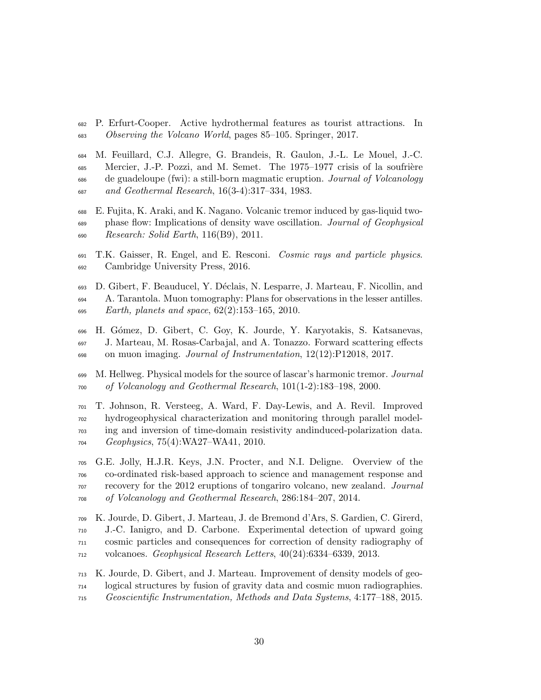- P. Erfurt-Cooper. Active hydrothermal features as tourist attractions. In Observing the Volcano World, pages 85–105. Springer, 2017.
- M. Feuillard, C.J. Allegre, G. Brandeis, R. Gaulon, J.-L. Le Mouel, J.-C. Mercier, J.-P. Pozzi, and M. Semet. The 1975–1977 crisis of la soufrière de guadeloupe (fwi): a still-born magmatic eruption. Journal of Volcanology and Geothermal Research, 16(3-4):317–334, 1983.
- E. Fujita, K. Araki, and K. Nagano. Volcanic tremor induced by gas-liquid two- phase flow: Implications of density wave oscillation. Journal of Geophysical Research: Solid Earth, 116(B9), 2011.
- T.K. Gaisser, R. Engel, and E. Resconi. Cosmic rays and particle physics. Cambridge University Press, 2016.
- D. Gibert, F. Beauducel, Y. D´eclais, N. Lesparre, J. Marteau, F. Nicollin, and A. Tarantola. Muon tomography: Plans for observations in the lesser antilles. 695 Earth, planets and space,  $62(2):153-165$ ,  $2010$ .
- H. G´omez, D. Gibert, C. Goy, K. Jourde, Y. Karyotakis, S. Katsanevas, J. Marteau, M. Rosas-Carbajal, and A. Tonazzo. Forward scattering effects on muon imaging. Journal of Instrumentation, 12(12):P12018, 2017.
- M. Hellweg. Physical models for the source of lascar's harmonic tremor. Journal of Volcanology and Geothermal Research, 101(1-2):183–198, 2000.
- T. Johnson, R. Versteeg, A. Ward, F. Day-Lewis, and A. Revil. Improved hydrogeophysical characterization and monitoring through parallel model- ing and inversion of time-domain resistivity andinduced-polarization data. Geophysics, 75(4):WA27–WA41, 2010.
- G.E. Jolly, H.J.R. Keys, J.N. Procter, and N.I. Deligne. Overview of the co-ordinated risk-based approach to science and management response and recovery for the 2012 eruptions of tongariro volcano, new zealand. Journal of Volcanology and Geothermal Research, 286:184–207, 2014.
- K. Jourde, D. Gibert, J. Marteau, J. de Bremond d'Ars, S. Gardien, C. Girerd, J.-C. Ianigro, and D. Carbone. Experimental detection of upward going cosmic particles and consequences for correction of density radiography of volcanoes. Geophysical Research Letters, 40(24):6334–6339, 2013.
- K. Jourde, D. Gibert, and J. Marteau. Improvement of density models of geo- logical structures by fusion of gravity data and cosmic muon radiographies. Geoscientific Instrumentation, Methods and Data Systems, 4:177–188, 2015.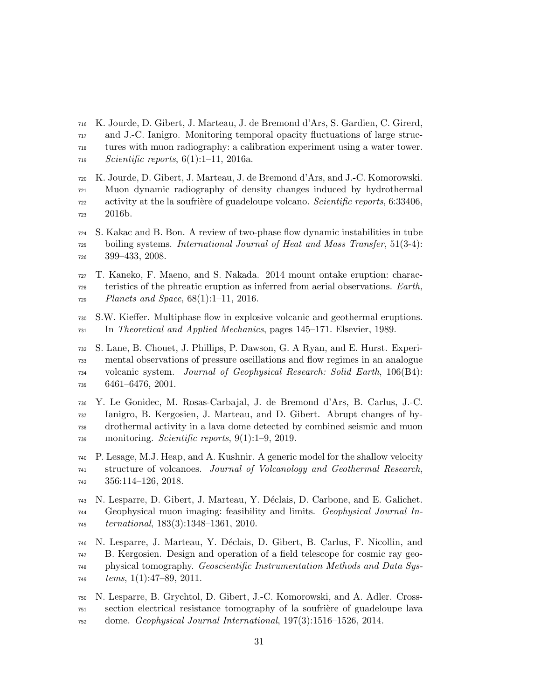- K. Jourde, D. Gibert, J. Marteau, J. de Bremond d'Ars, S. Gardien, C. Girerd, and J.-C. Ianigro. Monitoring temporal opacity fluctuations of large struc- tures with muon radiography: a calibration experiment using a water tower. Scientific reports,  $6(1):1-11$ , 2016a.
- K. Jourde, D. Gibert, J. Marteau, J. de Bremond d'Ars, and J.-C. Komorowski. Muon dynamic radiography of density changes induced by hydrothermal activity at the la soufrière of guadeloupe volcano. Scientific reports, 6:33406, 2016b.
- S. Kakac and B. Bon. A review of two-phase flow dynamic instabilities in tube boiling systems. International Journal of Heat and Mass Transfer, 51(3-4): 399–433, 2008.
- T. Kaneko, F. Maeno, and S. Nakada. 2014 mount ontake eruption: charac- teristics of the phreatic eruption as inferred from aerial observations. Earth,  $Planets$  and  $Space, 68(1):1-11, 2016.$
- S.W. Kieffer. Multiphase flow in explosive volcanic and geothermal eruptions. In Theoretical and Applied Mechanics, pages 145–171. Elsevier, 1989.
- S. Lane, B. Chouet, J. Phillips, P. Dawson, G. A Ryan, and E. Hurst. Experi- mental observations of pressure oscillations and flow regimes in an analogue volcanic system. Journal of Geophysical Research: Solid Earth, 106(B4): 6461–6476, 2001.
- Y. Le Gonidec, M. Rosas-Carbajal, J. de Bremond d'Ars, B. Carlus, J.-C. Ianigro, B. Kergosien, J. Marteau, and D. Gibert. Abrupt changes of hy- drothermal activity in a lava dome detected by combined seismic and muon  $_{739}$  monitoring. *Scientific reports*, 9(1):1–9, 2019.
- P. Lesage, M.J. Heap, and A. Kushnir. A generic model for the shallow velocity structure of volcanoes. Journal of Volcanology and Geothermal Research, 356:114–126, 2018.
- N. Lesparre, D. Gibert, J. Marteau, Y. D´eclais, D. Carbone, and E. Galichet. Geophysical muon imaging: feasibility and limits. Geophysical Journal In-ternational, 183(3):1348–1361, 2010.
- N. Lesparre, J. Marteau, Y. D´eclais, D. Gibert, B. Carlus, F. Nicollin, and B. Kergosien. Design and operation of a field telescope for cosmic ray geo- physical tomography. Geoscientific Instrumentation Methods and Data Sys $tems, 1(1):47–89, 2011.$
- N. Lesparre, B. Grychtol, D. Gibert, J.-C. Komorowski, and A. Adler. Cross- section electrical resistance tomography of la soufrière of guadeloupe lava dome. Geophysical Journal International, 197(3):1516–1526, 2014.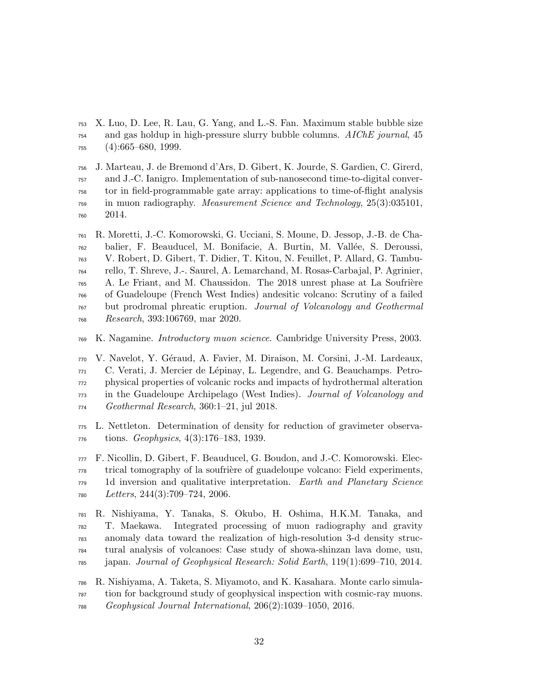X. Luo, D. Lee, R. Lau, G. Yang, and L.-S. Fan. Maximum stable bubble size and gas holdup in high-pressure slurry bubble columns. AIChE journal, 45 (4):665–680, 1999.

 J. Marteau, J. de Bremond d'Ars, D. Gibert, K. Jourde, S. Gardien, C. Girerd, and J.-C. Ianigro. Implementation of sub-nanosecond time-to-digital conver- tor in field-programmable gate array: applications to time-of-flight analysis in muon radiography. Measurement Science and Technology, 25(3):035101, 2014.

 R. Moretti, J.-C. Komorowski, G. Ucciani, S. Moune, D. Jessop, J.-B. de Cha- balier, F. Beauducel, M. Bonifacie, A. Burtin, M. Vall´ee, S. Deroussi, V. Robert, D. Gibert, T. Didier, T. Kitou, N. Feuillet, P. Allard, G. Tambu- rello, T. Shreve, J.-. Saurel, A. Lemarchand, M. Rosas-Carbajal, P. Agrinier, A. Le Friant, and M. Chaussidon. The 2018 unrest phase at La Soufrière of Guadeloupe (French West Indies) andesitic volcano: Scrutiny of a failed but prodromal phreatic eruption. Journal of Volcanology and Geothermal Research, 393:106769, mar 2020.

K. Nagamine. Introductory muon science. Cambridge University Press, 2003.

770 V. Navelot, Y. Géraud, A. Favier, M. Diraison, M. Corsini, J.-M. Lardeaux, C. Verati, J. Mercier de Lépinay, L. Legendre, and G. Beauchamps. Petro- physical properties of volcanic rocks and impacts of hydrothermal alteration in the Guadeloupe Archipelago (West Indies). Journal of Volcanology and Geothermal Research, 360:1–21, jul 2018.

 L. Nettleton. Determination of density for reduction of gravimeter observa-tions. Geophysics, 4(3):176–183, 1939.

 F. Nicollin, D. Gibert, F. Beauducel, G. Boudon, and J.-C. Komorowski. Elec- trical tomography of la soufri`ere of guadeloupe volcano: Field experiments, <sup>779</sup> 1d inversion and qualitative interpretation. Earth and Planetary Science Letters, 244(3):709–724, 2006.

 R. Nishiyama, Y. Tanaka, S. Okubo, H. Oshima, H.K.M. Tanaka, and T. Maekawa. Integrated processing of muon radiography and gravity anomaly data toward the realization of high-resolution 3-d density struc- tural analysis of volcanoes: Case study of showa-shinzan lava dome, usu, japan. Journal of Geophysical Research: Solid Earth, 119(1):699–710, 2014.

 R. Nishiyama, A. Taketa, S. Miyamoto, and K. Kasahara. Monte carlo simula- tion for background study of geophysical inspection with cosmic-ray muons. Geophysical Journal International, 206(2):1039–1050, 2016.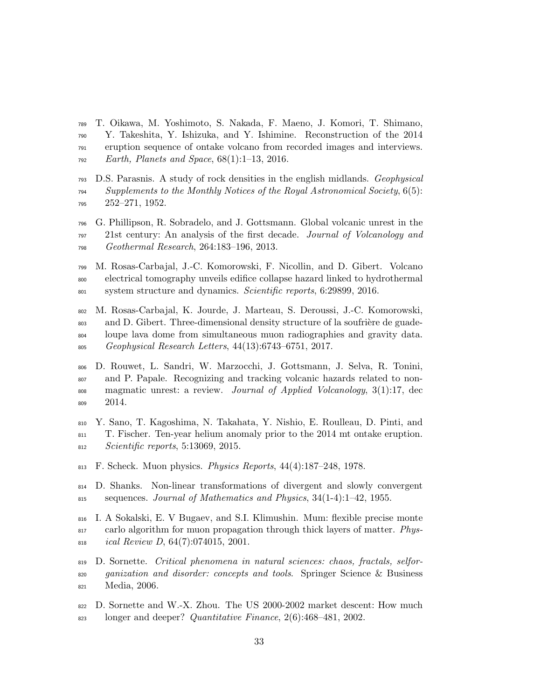- T. Oikawa, M. Yoshimoto, S. Nakada, F. Maeno, J. Komori, T. Shimano, Y. Takeshita, Y. Ishizuka, and Y. Ishimine. Reconstruction of the 2014 eruption sequence of ontake volcano from recorded images and interviews. Earth, Planets and Space, 68(1):1–13, 2016.
- D.S. Parasnis. A study of rock densities in the english midlands. Geophysical Supplements to the Monthly Notices of the Royal Astronomical Society,  $6(5)$ : 252–271, 1952.
- G. Phillipson, R. Sobradelo, and J. Gottsmann. Global volcanic unrest in the 21st century: An analysis of the first decade. Journal of Volcanology and Geothermal Research, 264:183–196, 2013.
- M. Rosas-Carbajal, J.-C. Komorowski, F. Nicollin, and D. Gibert. Volcano electrical tomography unveils edifice collapse hazard linked to hydrothermal system structure and dynamics. Scientific reports, 6:29899, 2016.
- M. Rosas-Carbajal, K. Jourde, J. Marteau, S. Deroussi, J.-C. Komorowski, 803 and D. Gibert. Three-dimensional density structure of la soufrière de guade- loupe lava dome from simultaneous muon radiographies and gravity data. Geophysical Research Letters, 44(13):6743–6751, 2017.
- D. Rouwet, L. Sandri, W. Marzocchi, J. Gottsmann, J. Selva, R. Tonini, and P. Papale. Recognizing and tracking volcanic hazards related to non- magmatic unrest: a review. Journal of Applied Volcanology, 3(1):17, dec 809 2014.
- Y. Sano, T. Kagoshima, N. Takahata, Y. Nishio, E. Roulleau, D. Pinti, and T. Fischer. Ten-year helium anomaly prior to the 2014 mt ontake eruption. Scientific reports, 5:13069, 2015.
- F. Scheck. Muon physics. Physics Reports, 44(4):187–248, 1978.
- D. Shanks. Non-linear transformations of divergent and slowly convergent 815 sequences. Journal of Mathematics and Physics,  $34(1-4):1-42$ , 1955.
- I. A Sokalski, E. V Bugaev, and S.I. Klimushin. Mum: flexible precise monte 817 carlo algorithm for muon propagation through thick layers of matter. Phys-ical Review D, 64(7):074015, 2001.
- D. Sornette. Critical phenomena in natural sciences: chaos, fractals, selfor- ganization and disorder: concepts and tools. Springer Science & Business Media, 2006.
- D. Sornette and W.-X. Zhou. The US 2000-2002 market descent: How much longer and deeper? Quantitative Finance, 2(6):468–481, 2002.